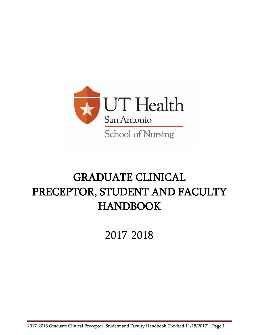

# GRADUATE CLINICAL PRECEPTOR, STUDENT AND FACULTY HANDBOOK

2017-2018

2017-2018 Graduate Clinical Preceptor, Student and Faculty Handbook (Revised 11/15/2017) Page 1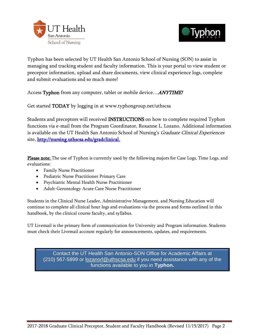



Typhon has been selected by UT Health San Antonio School of Nursing (SON) to assist in managing and tracking student and faculty information. This is your portal to view student or preceptor information, upload and share documents, view clinical experience logs, complete and submit evaluations and so much more!

Access Typhon from any computer, tablet or mobile device... **ANYTIME!** 

Get started TODAY by logging in at www.typhongroup.net/uthscsa

Students and preceptors will received INSTRUCTIONS on how to complete required Typhon functions via e-mail from the Program Coordinator, Roxanne L. Lozano. Additional information is available on the UT Health San Antonio School of Nursing's Graduate Clinical Experiences site, [http://nursing.uthscsa.edu/gradclinical.](http://nursing.uthscsa.edu/gradclinical)

Please note: The use of Typhon is currently used by the following majors for Case Logs, Time Logs, and evaluations:

- Family Nurse Practitioner
- Pediatric Nurse Practitioner Primary Care
- Psychiatric Mental Health Nurse Practitioner
- Adult-Gerontology Acute Care Nurse Practitioner

Students in the Clinical Nurse Leader, Administrative Management, and Nursing Education will continue to complete all clinical hour logs and evaluations via the process and forms outlined in this handbook, by the clinical course faculty, and syllabus.

UT Livemail is the primary form of communication for University and Program information. Students must check their Livemail account regularly for announcements, updates, and requirements.

Contact the UT Health San Antonio-SON Office for Academic Affairs at (210) 567-5899 or [lozanorl@uthscsa.edu](mailto:lozanorl@uthscsa.edu) if you need assistance with any of the functions available to you in **Typhon.**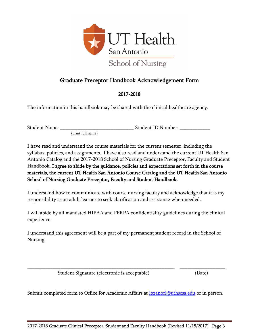

# Graduate Preceptor Handbook Acknowledgement Form

# 2017-2018

<span id="page-2-0"></span>The information in this handbook may be shared with the clinical healthcare agency.

(print full name)

Student Name: \_\_\_\_\_\_\_\_\_\_\_\_\_\_\_\_\_\_\_\_\_\_\_\_\_\_\_\_\_ Student ID Number: \_\_\_\_\_\_\_\_\_\_\_\_

I have read and understand the course materials for the current semester, including the syllabus, policies, and assignments. I have also read and understand the current UT Health San Antonio Catalog and the 2017-2018 School of Nursing Graduate Preceptor, Faculty and Student Handbook. I agree to abide by the guidance, policies and expectations set forth in the course materials, the current UT Health San Antonio Course Catalog and the UT Health San Antonio School of Nursing Graduate Preceptor, Faculty and Student Handbook.

I understand how to communicate with course nursing faculty and acknowledge that it is my responsibility as an adult learner to seek clarification and assistance when needed.

I will abide by all mandated HIPAA and FERPA confidentiality guidelines during the clinical experience.

I understand this agreement will be a part of my permanent student record in the School of Nursing.

Student Signature (electronic is acceptable) (Date)

Submit completed form to Office for Academic Affairs at **lozanorl@uthscsa.edu** or in person.

\_\_\_\_\_\_\_\_\_\_\_\_\_\_\_\_\_\_\_\_\_\_\_\_\_\_\_\_\_\_\_\_\_\_\_\_\_\_\_\_\_\_\_\_\_\_\_\_\_\_\_\_\_\_\_\_\_\_ \_\_\_\_\_\_\_\_\_\_\_\_\_\_\_\_\_\_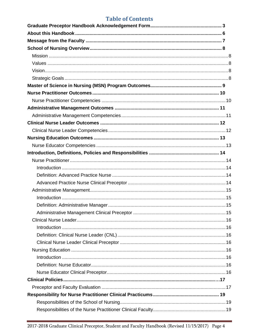# **Table of Contents**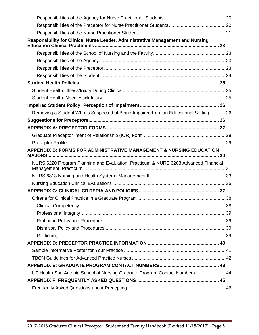| Responsibility for Clinical Nurse Leader, Administrative Management and Nursing     |  |
|-------------------------------------------------------------------------------------|--|
|                                                                                     |  |
|                                                                                     |  |
|                                                                                     |  |
|                                                                                     |  |
|                                                                                     |  |
|                                                                                     |  |
|                                                                                     |  |
|                                                                                     |  |
| Removing a Student Who is Suspected of Being Impaired from an Educational Setting26 |  |
|                                                                                     |  |
|                                                                                     |  |
|                                                                                     |  |
|                                                                                     |  |
| APPENDIX B: FORMS FOR ADMINISTRATIVE MANAGEMENT & NURSING EDUCATION                 |  |
| NURS 6220 Program Planning and Evaluation: Practicum & NURS 6203 Advanced Financial |  |
|                                                                                     |  |
|                                                                                     |  |
|                                                                                     |  |
|                                                                                     |  |
|                                                                                     |  |
|                                                                                     |  |
|                                                                                     |  |
|                                                                                     |  |
|                                                                                     |  |
|                                                                                     |  |
|                                                                                     |  |
|                                                                                     |  |
|                                                                                     |  |
| UT Health San Antonio School of Nursing Graduate Program Contact Numbers 44         |  |
|                                                                                     |  |
|                                                                                     |  |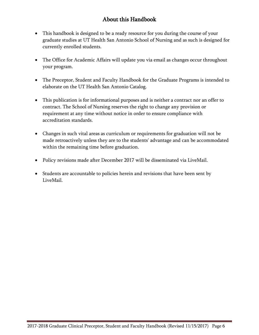# About this Handbook

- <span id="page-5-0"></span> This handbook is designed to be a ready resource for you during the course of your graduate studies at UT Health San Antonio School of Nursing and as such is designed for currently enrolled students.
- The Office for Academic Affairs will update you via email as changes occur throughout your program.
- The Preceptor, Student and Faculty Handbook for the Graduate Programs is intended to elaborate on the UT Health San Antonio Catalog.
- This publication is for informational purposes and is neither a contract nor an offer to contract. The School of Nursing reserves the right to change any provision or requirement at any time without notice in order to ensure compliance with accreditation standards.
- Changes in such vital areas as curriculum or requirements for graduation will not be made retroactively unless they are to the students' advantage and can be accommodated within the remaining time before graduation.
- Policy revisions made after December 2017 will be disseminated via LiveMail.
- Students are accountable to policies herein and revisions that have been sent by LiveMail.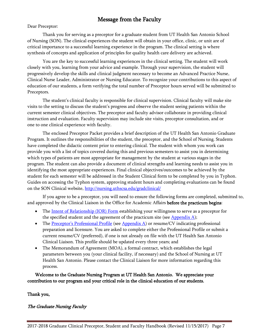# Message from the Faculty

<span id="page-6-0"></span>Dear Preceptor:

Thank you for serving as a preceptor for a graduate student from UT Health San Antonio School of Nursing (SON). The clinical experiences the student will obtain in your office, clinic, or unit are of critical importance to a successful learning experience in the program. The clinical setting is where synthesis of concepts and application of principles for quality health care delivery are achieved.

You are the key to successful learning experiences in the clinical setting. The student will work closely with you, learning from your advice and example. Through your supervision, the student will progressively develop the skills and clinical judgment necessary to become an Advanced Practice Nurse, Clinical Nurse Leader, Administrator or Nursing Educator. To recognize your contributions to this aspect of education of our students, a form verifying the total number of Preceptor hours served will be submitted to Preceptors.

The student's clinical faculty is responsible for clinical supervision. Clinical faculty will make site visits to the setting to discuss the student's progress and observe the student seeing patients within the current semester clinical objectives. The preceptor and faculty advisor collaborate in providing clinical instruction and evaluation. Faculty supervision may include site visits, preceptor consultation, and or one to one clinical experience with faculty.

The enclosed Preceptor Packet provides a brief description of the UT Health San Antonio Graduate Program. It outlines the responsibilities of the student, the preceptor, and the School of Nursing. Students have completed the didactic content prior to entering clinical. The student with whom you work can provide you with a list of topics covered during this and previous semesters to assist you in determining which types of patients are most appropriate for management by the student at various stages in the program. The student can also provide a document of clinical strengths and learning needs to assist you in identifying the most appropriate experiences. Final clinical objectives/outcomes to be achieved by the student for each semester will be addressed in the Student Clinical form to be completed by you in Typhon. Guides on accessing the Typhon system, approving student hours and completing evaluations can be found on the SON Clinical website, <http://nursing.uthscsa.edu/gradclinical/>

If you agree to be a preceptor, you will need to ensure the following forms are completed, submitted to, and approved by the Clinical Liaison in the Office for Academic Affairs before the practicum begins:

- The [Intent of Relationship \(IOR\) Form](#page-27-0) establishing your willingness to serve as a preceptor for the specified student and the agreement of the practicum site (see  $\Delta$ ppendix  $\Delta$ );
- The Preceptor's P[rofessional Profile](#page-28-0) (see [Appendix A\)](#page-26-0) or resume/CV indicating professional preparation and licensure. You are asked to complete either the Professional Profile or submit a current resume/CV (preferred), if one is not already on file with the UT Health San Antonio Clinical Liaison. This profile should be updated every three years; and
- The Memorandum of Agreement (MOA), a formal contract, which establishes the legal parameters between you (your clinical facility, if necessary) and the School of Nursing at UT Health San Antonio. Please contact the Clinical Liaison for more information regarding this process.

Welcome to the Graduate Nursing Program at UT Health San Antonio. We appreciate your contribution to our program and your critical role in the clinical education of our students.

Thank you,

The Graduate Nursing Faculty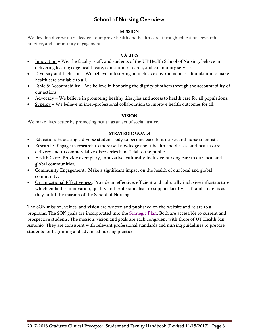# School of Nursing Overview

#### MISSION

<span id="page-7-1"></span><span id="page-7-0"></span>We develop diverse nurse leaders to improve health and health care, through education, research, practice, and community engagement.

#### VALUES

- <span id="page-7-2"></span> Innovation – We, the faculty, staff, and students of the UT Health School of Nursing, believe in delivering leading edge health care, education, research, and community service.
- $\bullet$  Diversity and Inclusion We believe in fostering an inclusive environment as a foundation to make health care available to all.
- Ethic & Accountability We believe in honoring the dignity of others through the accountability of our actions.
- $\blacklozenge$   $\blacktriangle$   $\blacktriangle$   $\blacktriangle$   $\blacktriangle$   $\blacktriangle$   $\blacktriangleright$   $\blacktriangle$   $\blacktriangle$   $\blacktriangle$   $\blacktriangle$   $\blacktriangle$   $\blacktriangle$   $\blacktriangle$   $\blacktriangle$   $\blacktriangle$   $\blacktriangle$   $\blacktriangle$   $\blacktriangle$   $\blacktriangle$   $\blacktriangle$   $\blacktriangle$   $\blacktriangle$   $\blacktriangle$   $\blacktriangle$   $\blacktriangle$   $\blacktriangle$   $\blacktriangle$   $\blacktriangle$   $\blacktriangle$   $\blacktriangle$   $\blacktriangle$   $\blacktriangle$   $\blacktriangle$   $\blacktriangle$   $\blacktriangle$
- Synergy We believe in inter-professional collaboration to improve health outcomes for all.

#### VISION

<span id="page-7-3"></span>We make lives better by promoting health as an act of social justice.

### STRATEGIC GOALS

- <span id="page-7-4"></span>• Education: Educating a diverse student body to become excellent nurses and nurse scientists.
- Research: Engage in research to increase knowledge about health and disease and health care delivery and to commercialize discoveries beneficial to the public.
- Health Care: Provide exemplary, innovative, culturally inclusive nursing care to our local and global communities.
- Community Engagement: Make a significant impact on the health of our local and global community.
- Organizational Effectiveness: Provide an effective, efficient and culturally inclusive infrastructure which embodies innovation, quality and professionalism to support faculty, staff and students as they fulfill the mission of the School of Nursing.

The SON mission, values, and vision are written and published on the website and relate to all programs. The SON goals are incorporated into the **Strategic Plan.** Both are accessible to current and prospective students. The mission, vision and goals are each congruent with those of [UT Health San](http://www.uthscsa.edu/about.shtml)  [Antonio.](http://www.uthscsa.edu/about.shtml) They are consistent with relevant professional standards and nursing guidelines to prepare students for beginning and advanced nursing practice.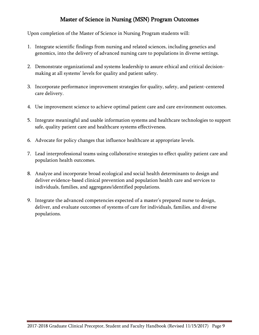# Master of Science in Nursing (MSN) Program Outcomes

<span id="page-8-0"></span>Upon completion of the Master of Science in Nursing Program students will:

- 1. Integrate scientific findings from nursing and related sciences, including genetics and genomics, into the delivery of advanced nursing care to populations in diverse settings.
- 2. Demonstrate organizational and systems leadership to assure ethical and critical decisionmaking at all systems' levels for quality and patient safety.
- 3. Incorporate performance improvement strategies for quality, safety, and patient-centered care delivery.
- 4. Use improvement science to achieve optimal patient care and care environment outcomes.
- 5. Integrate meaningful and usable information systems and healthcare technologies to support safe, quality patient care and healthcare systems effectiveness.
- 6. Advocate for policy changes that influence healthcare at appropriate levels.
- 7. Lead interprofessional teams using collaborative strategies to effect quality patient care and population health outcomes.
- 8. Analyze and incorporate broad ecological and social health determinants to design and deliver evidence-based clinical prevention and population health care and services to individuals, families, and aggregates/identified populations.
- 9. Integrate the advanced competencies expected of a master's prepared nurse to design, deliver, and evaluate outcomes of systems of care for individuals, families, and diverse populations.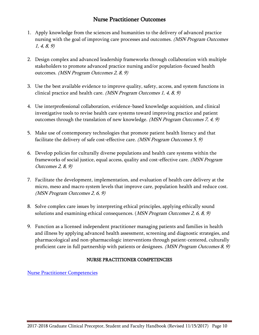# Nurse Practitioner Outcomes

- <span id="page-9-0"></span>1. Apply knowledge from the sciences and humanities to the delivery of advanced practice nursing with the goal of improving care processes and outcomes. (MSN Program Outcomes 1, 4, 8, 9)
- 2. Design complex and advanced leadership frameworks through collaboration with multiple stakeholders to promote advanced practice nursing and/or population-focused health outcomes. (MSN Program Outcomes 2, 8, 9)
- 3. Use the best available evidence to improve quality, safety, access, and system functions in clinical practice and health care. (MSN Program Outcomes 1, 4, 8, 9)
- 4. Use interprofessional collaboration, evidence-based knowledge acquisition, and clinical investigative tools to revise health care systems toward improving practice and patient outcomes through the translation of new knowledge. *(MSN Program Outcomes 7, 4, 9)*
- 5. Make use of contemporary technologies that promote patient health literacy and that facilitate the delivery of safe cost-effective care. (MSN Program Outcomes 5, 9)
- 6. Develop policies for culturally diverse populations and health care systems within the frameworks of social justice, equal access, quality and cost-effective care. (MSN Program Outcomes 2, 8, 9)
- 7. Facilitate the development, implementation, and evaluation of health care delivery at the micro, meso and macro system levels that improve care, population health and reduce cost. (MSN Program Outcomes 2, 6, 9)
- 8. Solve complex care issues by interpreting ethical principles, applying ethically sound solutions and examining ethical consequences. (MSN Program Outcomes 2, 6, 8, 9)
- 9. Function as a licensed independent practitioner managing patients and families in health and illness by applying advanced health assessment, screening and diagnostic strategies, and pharmacological and non-pharmacologic interventions through patient-centered, culturally proficient care in full partnership with patients or designees. (MSN Program Outcomes 8, 9)

# NURSE PRACTITIONER COMPETENCIES

<span id="page-9-1"></span>[Nurse Practitioner Competencies](http://www.nonpf.org/?page=14)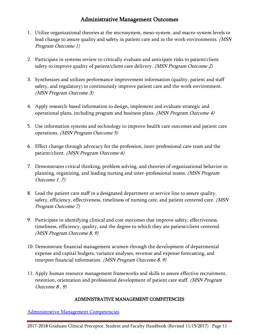# Administrative Management Outcomes

- <span id="page-10-0"></span>1. Utilize organizational theories at the microsystem, meso-system, and macro-system levels to lead change to assure quality and safety in patient care and in the work environments. *(MSN* Program Outcome 1)
- 2. Participate in systems review to critically evaluate and anticipate risks to patient/client safety to improve quality of patient/client care delivery. (MSN Program Outcome 2)
- 3. Synthesizes and utilizes performance improvement information (quality, patient and staff safety, and regulatory) to continuously improve patient care and the work environment. (MSN Program Outcome 3)
- 4. Apply research-based information to design, implement and evaluate strategic and operational plans, including program and business plans. (MSN Program Outcome 4)
- 5. Use information systems and technology to improve health care outcomes and patient care operations. (MSN Program Outcome 5)
- 6. Effect change through advocacy for the profession, inter-professional care team and the patient/client. (MSN Program Outcome 6)
- 7. Demonstrates critical thinking, problem solving, and theories of organizational behavior in planning, organizing, and leading nursing and inter-professional teams. (MSN Program Outcome 1, 7)
- 8. Lead the patient care staff in a designated department or service line to assure quality, safety, efficiency, effectiveness, timeliness of nursing care, and patient centered care. (MSN Program Outcome 7)
- 9. Participate in identifying clinical and cost outcomes that improve safety, effectiveness, timeliness, efficiency, quality, and the degree to which they are patient/client centered. (MSN Program Outcome 8, 9)
- 10. Demonstrate financial management acumen through the development of departmental expense and capital budgets, variance analyses, revenue and expense forecasting, and interpret financial information. (MSN Program Outcome 8, 9)
- 11. Apply human resource management frameworks and skills to assure effective recruitment, retention, orientation and professional development of patient care staff. *(MSN Program*) Outcome 8 , 9)

# ADMINISTRATIVE MANAGEMENT COMPETENCIES

<span id="page-10-1"></span>[Administrative Management Competencies](http://www.aone.org/resources/nurse-manager-competencies.pdf)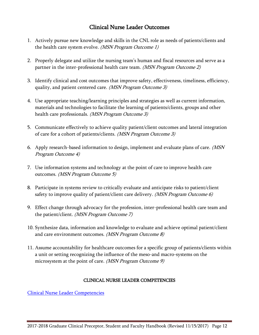# Clinical Nurse Leader Outcomes

- <span id="page-11-0"></span>1. Actively pursue new knowledge and skills in the CNL role as needs of patients/clients and the health care system evolve. (MSN Program Outcome 1)
- 2. Properly delegate and utilize the nursing team's human and fiscal resources and serve as a partner in the inter-professional health care team. (MSN Program Outcome 2)
- 3. Identify clinical and cost outcomes that improve safety, effectiveness, timeliness, efficiency, quality, and patient centered care. (MSN Program Outcome 3)
- 4. Use appropriate teaching/learning principles and strategies as well as current information, materials and technologies to facilitate the learning of patients/clients, groups and other health care professionals. (MSN Program Outcome 3)
- 5. Communicate effectively to achieve quality patient/client outcomes and lateral integration of care for a cohort of patients/clients. (MSN Program Outcome 3)
- 6. Apply research-based information to design, implement and evaluate plans of care. (MSN Program Outcome 4)
- 7. Use information systems and technology at the point of care to improve health care outcomes. (MSN Program Outcome 5)
- 8. Participate in systems review to critically evaluate and anticipate risks to patient/client safety to improve quality of patient/client care delivery. (MSN Program Outcome 6)
- 9. Effect change through advocacy for the profession, inter-professional health care team and the patient/client. (MSN Program Outcome 7)
- 10. Synthesize data, information and knowledge to evaluate and achieve optimal patient/client and care environment outcomes. *(MSN Program Outcome 8)*
- 11. Assume accountability for healthcare outcomes for a specific group of patients/clients within a unit or setting recognizing the influence of the meso-and macro-systems on the microsystem at the point of care. *(MSN Program Outcome 9)*

# CLINICAL NURSE LEADER COMPETENCIES

<span id="page-11-1"></span>[Clinical Nurse Leader Competencies](https://www.aacnnursing.org/Portals/42/AcademicNursing/CurriculumGuidelines/CNL-Competencies-October-2013.pdf?ver=2017-05-18-144336-663)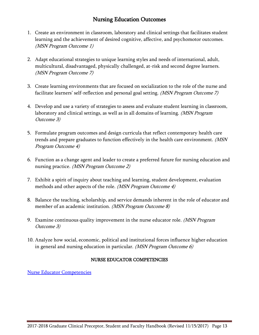# Nursing Education Outcomes

- <span id="page-12-0"></span>1. Create an environment in classroom, laboratory and clinical settings that facilitates student learning and the achievement of desired cognitive, affective, and psychomotor outcomes. (MSN Program Outcome 1)
- 2. Adapt educational strategies to unique learning styles and needs of international, adult, multicultural, disadvantaged, physically challenged, at-risk and second degree learners. (MSN Program Outcome 7)
- 3. Create learning environments that are focused on socialization to the role of the nurse and facilitate learners' self-reflection and personal goal setting. (MSN Program Outcome 7)
- 4. Develop and use a variety of strategies to assess and evaluate student learning in classroom, laboratory and clinical settings, as well as in all domains of learning. *(MSN Program* Outcome 3)
- 5. Formulate program outcomes and design curricula that reflect contemporary health care trends and prepare graduates to function effectively in the health care environment. (MSN Program Outcome 4)
- 6. Function as a change agent and leader to create a preferred future for nursing education and nursing practice. *(MSN Program Outcome 2)*
- 7. Exhibit a spirit of inquiry about teaching and learning, student development, evaluation methods and other aspects of the role. (MSN Program Outcome 4)
- 8. Balance the teaching, scholarship, and service demands inherent in the role of educator and member of an academic institution. *(MSN Program Outcome 8)*
- 9. Examine continuous quality improvement in the nurse educator role. *(MSN Program*) Outcome 3)
- 10. Analyze how social, economic, political and institutional forces influence higher education in general and nursing education in particular. (MSN Program Outcome 6)

# NURSE EDUCATOR COMPETENCIES

<span id="page-12-1"></span>[Nurse Educator Competencies](http://www.nln.org/professional-development-programs/competencies-for-nursing-education)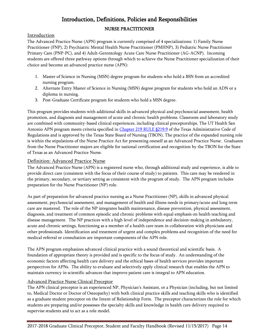# Introduction, Definitions, Policies and Responsibilities

# NURSE PRACTITIONER

### <span id="page-13-2"></span><span id="page-13-1"></span><span id="page-13-0"></span>Introduction

The Advanced Practice Nurse (APN) program is currently comprised of 4 specializations: 1) Family Nurse Practitioner (FNP), 2) Psychiatric Mental Health Nurse Practitioner (PMHNP), 3) Pediatric Nurse Practitioner Primary Care (PNP-PC), and 4) Adult-Gerontology Acute Care Nurse Practitioner (AG-ACNP). Incoming students are offered three pathway options through which to achieve the Nurse Practitioner specialization of their choice and become an advanced practice nurse (APN):

- 1. Master of Science in Nursing (MSN) degree program for students who hold a BSN from an accredited nursing program.
- 2. Alternate Entry Master of Science in Nursing (MSN) degree program for students who hold an ADN or a diploma in nursing.
- 3. Post-Graduate Certificate program for students who hold a MSN degree.

This program provides students with additional skills in advanced physical and psychosocial assessment, health promotion, and diagnosis and management of acute and chronic health problems. Classroom and laboratory study are combined with community-based clinical experiences, including clinical preceptorships. The UT Health San Antonio APN program meets criteria specified in [Chapter 219 RULE §219.9](https://www.bon.texas.gov/rr_current/219-9.asp) of the Texas Administrative Code of Regulations and is approved by the Texas State Board of Nursing (TBON). The practice of the expanded nursing role is within the stipulations of the Nurse Practice Act for presenting oneself as an Advanced Practice Nurse. Graduates from the Nurse Practitioner majors are eligible for national certification and recognition by the TBON for the State of Texas as an Advanced Practice Nurse.

### <span id="page-13-3"></span>Definition: Advanced Practice Nurse

The Advanced Practice Nurse (APN) is a registered nurse who, through additional study and experience, is able to provide direct care (consistent with the focus of their course of study) to patients. This care may be rendered in the primary, secondary, or tertiary setting as consistent with the program of study. The APN program includes preparation for the Nurse Practitioner (NP) role.

As part of preparation for advanced practice nursing as a Nurse Practitioner (NP), skills in advanced physical assessment, psychosocial assessment, and management of health and illness needs in primary/acute and long term care are mastered. The role of the NP integrates health maintenance, disease prevention, physical assessment, diagnosis, and treatment of common episodic and chronic problems with equal emphasis on health teaching and disease management. The NP practices with a high level of independence and decision-making in ambulatory, acute and chronic settings, functioning as a member of a health care team in collaboration with physicians and other professionals. Identification and treatment of urgent and complex problems and recognition of the need for medical referral or consultation are important components of the APN role.

The APN program emphasizes advanced clinical practice with a sound theoretical and scientific basis. A foundation of appropriate theory is provided and is specific to the focus of study. An understanding of the economic factors affecting health care delivery and the ethical bases of health services provides important perspectives for APNs. The ability to evaluate and selectively apply clinical research that enables the APN to maintain currency in scientific advances that improve patient care is integral to APN education.

# <span id="page-13-4"></span>Advanced Practice Nurse Clinical Preceptor

The APN clinical preceptor is an experienced NP, Physician's Assistant, or a Physician (including, but not limited to, Medical Doctor or Doctor of Osteopathy) with both clinical practice skills and teaching skills who is identified as a graduate student preceptor on the Intent of Relationship Form. The preceptor characterizes the role for which students are preparing and/or possesses the specialty skills and knowledge in health care delivery required to supervise students and to act as a role model.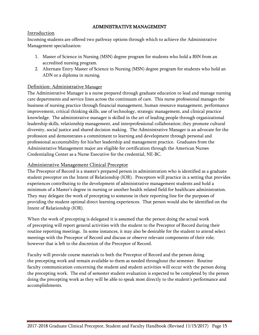### ADMINISTRATIVE MANAGEMENT

### <span id="page-14-1"></span><span id="page-14-0"></span>Introduction

Incoming students are offered two pathway options through which to achieve the Administrative Management specialization:

- 1. Master of Science in Nursing (MSN) degree program for students who hold a BSN from an accredited nursing program.
- 2. Alternate Entry Master of Science in Nursing (MSN) degree program for students who hold an ADN or a diploma in nursing.

### <span id="page-14-2"></span>Definition: Administrative Manager

The Administrative Manager is a nurse prepared through graduate education to lead and manage nursing care departments and service lines across the continuum of care. This nurse professional manages the business of nursing practice through financial management, human resource management, performance improvement, critical thinking skills, use of technology, strategic management, and clinical practice knowledge. The administrative manager is skilled in the art of leading people through organizational leadership skills, relationship management, and interprofessional collaboration; they promote cultural diversity, social justice and shared decision making. The Administrative Manager is an advocate for the profession and demonstrates a commitment to learning and development through personal and professional accountability for his/her leadership and management practice. Graduates from the Administrative Management major are eligible for certification through the American Nurses Credentialing Center as a Nurse Executive for the credential, NE-BC.

### <span id="page-14-3"></span>Administrative Management Clinical Preceptor

The Preceptor of Record is a master's prepared person in administration who is identified as a graduate student preceptor on the Intent of Relationship (IOR). Preceptors will practice in a setting that provides experiences contributing to the development of administrative management students and hold a minimum of a Master's degree in nursing or another health related field for healthcare administration. They may delegate the work of precepting to someone in their reporting line for the purposes of providing the student optimal direct learning experiences. That person would also be identified on the Intent of Relationship (IOR).

When the work of precepting is delegated it is assumed that the person doing the actual work of precepting will report general activities with the student to the Preceptor of Record during their routine reporting meetings. In some instances, it may also be desirable for the student to attend select meetings with the Preceptor of Record and discuss or observe relevant components of their role; however that is left to the discretion of the Preceptor of Record.

Faculty will provide course materials to both the Preceptor of Record and the person doing the precepting work and remain available to them as needed throughout the semester. Routine faculty communication concerning the student and student activities will occur with the person doing the precepting work. The end of semester student evaluation is expected to be completed by the person doing the precepting work as they will be able to speak most directly to the student's performance and accomplishments.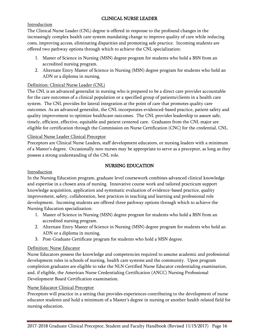# CLINICAL NURSE LEADER

# <span id="page-15-1"></span><span id="page-15-0"></span>Introduction

The Clinical Nurse Leader (CNL) degree is offered in response to the profound changes in the increasingly complex health care system mandating change to improve quality of care while reducing costs, improving access, eliminating disparities and promoting safe practice. Incoming students are offered two pathway options through which to achieve the CNL specialization:

- 1. Master of Science in Nursing (MSN) degree program for students who hold a BSN from an accredited nursing program.
- 2. Alternate Entry Master of Science in Nursing (MSN) degree program for students who hold an ADN or a diploma in nursing.

# <span id="page-15-2"></span>Definition: Clinical Nurse Leader (CNL)

The CNL is an advanced generalist in nursing who is prepared to be a direct care provider accountable for the care outcomes of a clinical population or a specified group of patients/clients in a health care system. The CNL provides for lateral integration at the point of care that promotes quality care outcomes. As an advanced generalist, the CNL incorporates evidenced-based practice, patient safety and quality improvement to optimize healthcare outcomes. The CNL provides leadership to assure safe, timely, efficient, effective, equitable and patient centered care. Graduates from the CNL major are eligible for certification through the Commission on Nurse Certification (CNC) for the credential, CNL.

# <span id="page-15-3"></span>Clinical Nurse Leader Clinical Preceptor

Preceptors are Clinical Nurse Leaders, staff development educators, or nursing leaders with a minimum of a Master's degree. Occasionally non-nurses may be appropriate to serve as a preceptor, as long as they possess a strong understanding of the CNL role.

# NURSING EDUCATION

# <span id="page-15-5"></span><span id="page-15-4"></span>Introduction

In the Nursing Education program, graduate level coursework combines advanced clinical knowledge and expertise in a chosen area of nursing. Innovative course work and tailored practicum support knowledge acquisition, application and systematic evaluation of evidence-based practice, quality improvement, safety, collaboration, best practices in teaching and learning and professional role development. Incoming students are offered three pathway options through which to achieve the Nursing Education specialization:

- 1. Master of Science in Nursing (MSN) degree program for students who hold a BSN from an accredited nursing program.
- 2. Alternate Entry Master of Science in Nursing (MSN) degree program for students who hold an ADN or a diploma in nursing.
- 3. Post-Graduate Certificate program for students who hold a MSN degree.

# <span id="page-15-6"></span>Definition: Nurse Educator

Nurse Educators possess the knowledge and competencies required to assume academic and professional development roles in schools of nursing, health care systems and the community. Upon program completion graduates are eligible to take the NLN Certified Nurse Educator credentialing examination, and, if eligible, the American Nurse Credentialing Certification (ANCC) Nursing Professional Development Board Certification examination.

# <span id="page-15-7"></span>Nurse Educator Clinical Preceptor

Preceptors will practice in a setting that provides experiences contributing to the development of nurse educator students and hold a minimum of a Master's degree in nursing or another health related field for nursing education.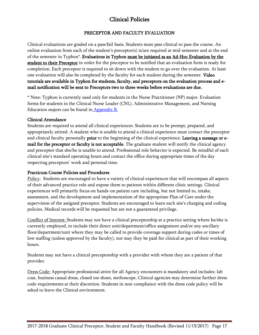# Clinical Policies

# PRECEPTOR AND FACULTY EVALUATION

<span id="page-16-1"></span><span id="page-16-0"></span>Clinical evaluations are graded on a pass/fail basis. Students must pass clinical to pass the course. An online evaluation from each of the student's preceptor(s) is/are required at mid-semester and at the end of the semester in Typhon<sup>\*</sup>. Evaluations in Typhon must be initiated as an Ad-Hoc Evaluation by the student to their Preceptor in order for the preceptor to be notified that an evaluation form is ready for completion. Each preceptor is required to sit down with the student to go over the evaluation. At least one evaluation will also be completed by the faculty for each student during the semester. Video tutorials are available in Typhon for students, faculty, and preceptors on the evaluation process and email notification will be sent to Preceptors two to three weeks before evaluations are due.

\* Note: Typhon is currently used only for students in the Nurse Practitioner (NP) major. Evaluation forms for students in the Clinical Nurse Leader (CNL), Administrative Management, and Nursing Education majors can be found in [Appendix](#page-29-0) B.

#### Clinical Attendance

Students are required to attend all clinical experiences. Students are to be prompt, prepared, and appropriately attired. A student who is unable to attend a clinical experience must contact the preceptor and clinical faculty personally **prior** to the beginning of the clinical experience. Leaving a message or email for the preceptor or faculty is not acceptable. The graduate student will notify the clinical agency and preceptor that she/he is unable to attend. Professional role behavior is expected. Be mindful of each clinical site's standard operating hours and contact the office during appropriate times of the day respecting preceptors' work and personal time.

# Practicum Course Policies and Procedures

Policy: Students are encouraged to have a variety of clinical experiences that will encompass all aspects of their advanced practice role and expose them to patients within different clinic settings. Clinical experiences will primarily focus on hands-on patient care including, but not limited to, intake, assessment, and the development and implementation of the appropriate Plan of Care under the supervision of the assigned preceptor. Students are encouraged to learn each site's charging and coding policies. Medical records will be requested but are not a guaranteed privilege.

Conflict of Interest: Students may not have a clinical preceptorship at a practice setting where he/she is currently employed, to include their direct unit/department/office assignment and/or any ancillary floor/department/unit where they may be called to provide coverage support during codes or times of low staffing (unless approved by the faculty), nor may they be paid for clinical as part of their working hours.

Students may not have a clinical preceptorship with a provider with whom they are a patient of that provider.

Dress Code: Appropriate professional attire for all Agency encounters is mandatory and includes: lab coat, business casual dress, closed toe shoes, stethoscope. Clinical agencies may determine further dress code requirements at their discretion. Students in non-compliance with the dress code policy will be asked to leave the Clinical environment.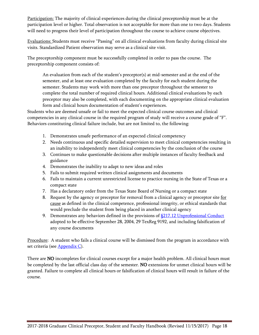Participation: The majority of clinical experiences during the clinical preceptorship must be at the participation level or higher. Total observation is not acceptable for more than one to two days. Students will need to progress their level of participation throughout the course to achieve course objectives.

Evaluations: Students must receive "Passing" on all clinical evaluations from faculty during clinical site visits. Standardized Patient observation may serve as a clinical site visit.

The preceptorship component must be successfully completed in order to pass the course. The preceptorship component consists of:

An evaluation from each of the student's preceptor(s) at mid-semester and at the end of the semester, and at least one evaluation completed by the faculty for each student during the semester. Students may work with more than one preceptor throughout the semester to complete the total number of required clinical hours. Additional clinical evaluations by each preceptor may also be completed, with each documenting on the appropriate clinical evaluation form and clinical hours documentation of student's experiences.

Students who are deemed unsafe or fail to meet the expected clinical course outcomes and clinical competencies in any clinical course in the required program of study will receive a course grade of "F". Behaviors constituting clinical failure include, but are not limited to, the following:

- 1. Demonstrates unsafe performance of an expected clinical competency
- 2. Needs continuous and specific detailed supervision to meet clinical competencies resulting in an inability to independently meet clinical competencies by the conclusion of the course
- 3. Continues to make questionable decisions after multiple instances of faculty feedback and guidance
- 4. Demonstrates the inability to adapt to new ideas and roles
- 5. Fails to submit required written clinical assignments and documents
- 6. Fails to maintain a current unrestricted license to practice nursing in the State of Texas or a compact state
- 7. Has a declaratory order from the Texas State Board of Nursing or a compact state
- 8. Request by the agency or preceptor for removal from a clinical agency or preceptor site for cause as defined in the clinical competence, professional integrity, or ethical standards that would preclude the student from being placed in another clinical agency
- 9. Demonstrates any behaviors defined in the provisions of  $g217.12$  Unprofessional Conduct adopted to be effective September 28, 2004, 29 TexReg 9192, and including falsification of any course documents

Procedure: A student who fails a clinical course will be dismissed from the program in accordance with set criteria (see **Appendix C**).

There are NO incompletes for clinical courses except for a major health problem. All clinical hours must be completed by the last official class day of the semester. NO extensions for unmet clinical hours will be granted. Failure to complete all clinical hours or falsification of clinical hours will result in failure of the course.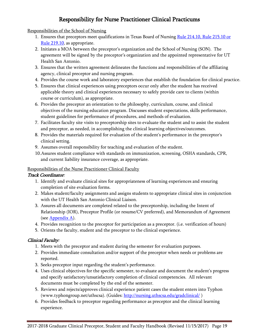# Responsibility for Nurse Practitioner Clinical Practicums

#### <span id="page-18-1"></span><span id="page-18-0"></span>Responsibilities of the School of Nursing

- 1. Ensures that preceptors meet qualifications in Texas Board of Nursing Rule 214.10, Rule 215.10 or [Rule 219.10,](https://www.bon.texas.gov/pdfs/law_rules_pdfs/rules_regulations_pdfs/bon_rr_Oct2016.pdf) as appropriate.
- 2. Initiates a MOA between the preceptor's organization and the School of Nursing (SON). The agreement will be signed by the preceptor's organization and the appointed representative for UT Health San Antonio.
- 3. Ensures that the written agreement delineates the functions and responsibilities of the affiliating agency, clinical preceptor and nursing program.
- 4. Provides the course work and laboratory experiences that establish the foundation for clinical practice.
- 5. Ensures that clinical experiences using preceptors occur only after the student has received applicable theory and clinical experiences necessary to safely provide care to clients (within course or curriculum), as appropriate.
- 6. Provides the preceptor an orientation to the philosophy, curriculum, course, and clinical objectives of the nursing education program. Discusses student expectations, skills performance, student guidelines for performance of procedures, and methods of evaluation.
- 7. Facilitates faculty site visits to preceptorship sites to evaluate the student and to assist the student and preceptor, as needed, in accomplishing the clinical learning objectives/outcomes.
- 8. Provides the materials required for evaluation of the student's performance in the preceptor's clinical setting.
- 9. Assumes overall responsibility for teaching and evaluation of the student.
- 10.Assures student compliance with standards on immunization, screening, OSHA standards, CPR, and current liability insurance coverage, as appropriate.

### <span id="page-18-2"></span>Responsibilities of the Nurse Practitioner Clinical Faculty

#### Track Coordinator:

- 1. Identify and evaluate clinical sites for appropriateness of learning experiences and ensuring completion of site evaluation forms.
- 2. Makes student/faculty assignments and assigns students to appropriate clinical sites in conjunction with the UT Health San Antonio Clinical Liaison.
- 3. Assures all documents are completed related to the preceptorship, including the Intent of Relationship (IOR), Preceptor Profile (or resume/CV preferred), and Memorandum of Agreement (se[e Appendix A\)](#page-26-0).
- 4. Provides recognition to the preceptor for participation as a preceptor. (i.e. verification of hours)
- 5. Orients the faculty, student and the preceptor to the clinical experience.

# Clinical Faculty:

- 1. Meets with the preceptor and student during the semester for evaluation purposes.
- 2. Provides immediate consultation and/or support of the preceptor when needs or problems are reported.
- 3. Seeks preceptor input regarding the student's performance.
- 4. Uses clinical objectives for the specific semester, to evaluate and document the student's progress and specify satisfactory/unsatisfactory completion of clinical competencies. All relevant documents must be completed by the end of the semester.
- 5. Reviews and rejects/approves clinical experience patient cases the student enters into Typhon (www.typhongroup.net/uthscsa). (Guides:<http://nursing.uthscsa.edu/gradclinical/>)
- 6. Provides feedback to preceptor regarding performance as preceptor and the clinical learning experience.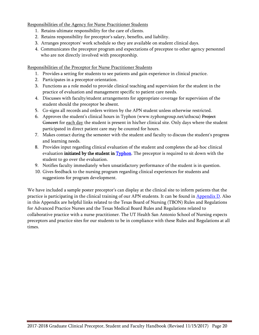<span id="page-19-0"></span>Responsibilities of the Agency for Nurse Practitioner Students

- 1. Retains ultimate responsibility for the care of clients.
- 2. Retains responsibility for preceptor's salary, benefits, and liability.
- 3. Arranges preceptors' work schedule so they are available on student clinical days.
- 4. Communicates the preceptor program and expectations of preceptee to other agency personnel who are not directly involved with preceptorship.

#### <span id="page-19-1"></span>Responsibilities of the Preceptor for Nurse Practitioner Students

- 1. Provides a setting for students to see patients and gain experience in clinical practice.
- 2. Participates in a preceptor orientation.
- 3. Functions as a role model to provide clinical teaching and supervision for the student in the practice of evaluation and management specific to patient care needs.
- 4. Discusses with faculty/student arrangements for appropriate coverage for supervision of the student should the preceptor be absent.
- 5. Co-signs all records and orders written by the APN student unless otherwise restricted.
- 6. Approves the student's clinical hours in Typhon (www.typhongroup.net/uthscsa) Project Goncert for each day the student is present in his/her clinical site. Only days where the student participated in direct patient care may be counted for hours.
- 7. Makes contact during the semester with the student and faculty to discuss the student's progress and learning needs.
- 8. Provides input regarding clinical evaluation of the student and completes the ad-hoc clinical evaluation initiated by the student in **Typhon**. The preceptor is required to sit down with the student to go over the evaluation.
- 9. Notifies faculty immediately when unsatisfactory performance of the student is in question.
- 10. Gives feedback to the nursing program regarding clinical experiences for students and suggestions for program development.

We have included a sample poster preceptor's can display at the clinical site to inform patients that the practice is participating in the clinical training of our APN students. It can be found in **Appendix D**. Also in this Appendix are helpful links related to the Texas Board of Nursing (TBON) Rules and Regulations for Advanced Practice Nurses and the Texas Medical Board Rules and Regulations related to collaborative practice with a nurse practitioner. The UT Health San Antonio School of Nursing expects preceptors and practice sites for our students to be in compliance with these Rules and Regulations at all times.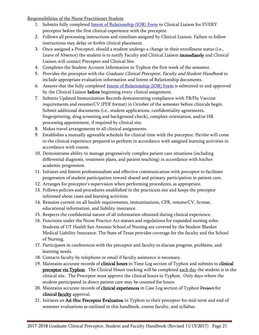<span id="page-20-0"></span>Responsibilities of the Nurse Practitioner Student

- 1. Submits fully completed [Intent of Relationship \(IOR\) Form](#page-27-0) to Clinical Liaison for EVERY preceptor before the first clinical experience with the preceptor.
- 2. Follows all processing instructions and timelines assigned by Clinical Liaison. Failure to follow instructions may delay or forfeit clinical placement.
- 3. Once assigned a Preceptor, should a student undergo a change in their enrollment status (i.e., Leave of Absence) the student is to notify Faculty and Clinical Liaison immediately and Clinical Liaison will contact Preceptor and Clinical Site.
- 4. Completes the Student Account Information in Typhon the first week of the semester.
- 5. Provides the preceptor with the *Graduate Clinical Preceptor, Faculty and Student Handbook* to include appropriate evaluation information and Intent of Relationship documents.
- 6. Assures that the fully completed [Intent of Relationship \(IOR\) Form](#page-27-0) is submitted to and approved by the Clinical Liaison before beginning every clinical assignment.
- 7. Submits Updated Immunization Records demonstrating compliance with TB/Flu Vaccine requirements and resume/CV (PDF format) in October of the semester before clinicals begin. Submit additional documents (i.e., student applications, confidentiality agreements, fingerprinting, drug screening and background check), complete orientation, and/or HR processing appointment, if required by clinical site.
- 8. Makes travel arrangements to all clinical assignments.
- 9. Establishes a mutually agreeable schedule for clinical time with the preceptor. He/she will come to the clinical experience prepared to perform in accordance with assigned learning activities in accordance with course.
- 10. Demonstrates ability to manage progressively complex patient care situations (including differential diagnosis, treatment plans, and patient teaching) in accordance with his/her academic progression.
- 11. Initiates and fosters professionalism and effective communication with preceptor to facilitate progression of student participation toward shared and primary participation in patient care.
- 12. Arranges for preceptor's supervision when performing procedures, as appropriate.
- 13. Follows policies and procedures established in the practicum site and keeps the preceptor informed about cases and learning activities.
- 14. Remains current on all health requirements, immunizations, CPR, resume/CV, license, educational information, and liability insurance.
- 15. Respects the confidential nature of all information obtained during clinical experience.
- 16. Functions under the Nurse Practice Act statues and regulations for expanded nursing roles. Students of UT Health San Antonio School of Nursing are covered by the Student Blanket Medical Liability Insurance. The State of Texas provides coverage for the faculty and the School of Nursing.
- 17. Participates in conferences with the preceptor and faculty to discuss progress, problems, and learning needs.
- 18. Contacts faculty by telephone or email if faculty assistance is necessary.
- 19. Maintains accurate records of clinical hours in Time Log section of Typhon and submits to clinical **preceptor via Typhon**. The Clinical Hours tracking will be completed each day the student is in the clinical site. The Preceptor must approve the clinical hours in Typhon. Only days where the student participated in direct patient care may be counted for hours.
- 20. Maintains accurate records of clinical experiences in Case Log section of Typhon Project for clinical **faculty** approval.
- 21. Initiates an Ad-Hoc Preceptor Evaluation in Typhon to their preceptor for mid-term and end of semester evaluations as outlined in this handbook, course faculty, and syllabus.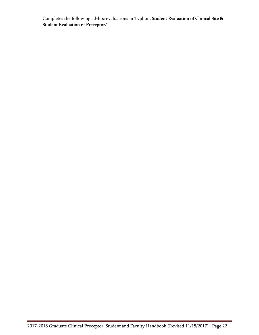Completes the following ad-hoc evaluations in Typhon: Student Evaluation of Clinical Site & Student Evaluation of Preceptor.\*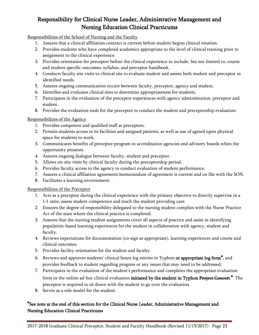# <span id="page-22-0"></span>Responsibility for Clinical Nurse Leader, Administrative Management and Nursing Education Clinical Practicums

<span id="page-22-1"></span>Responsibilities of the School of Nursing and the Faculty

- 1. Assures that a clinical affiliation contract is current before student begins clinical rotation.
- 2. Provides students who have completed academics appropriate to the level of clinical training prior to assignment to the clinical experience.
- 3. Provides orientation for preceptor before the clinical experience to include, but not limited to, course and student specific outcomes, syllabus, and preceptor handbook.
- 4. Conducts faculty site visits to clinical site to evaluate student and assists both student and preceptor in identified needs.
- 5. Assures ongoing communication occurs between faculty, preceptor, agency and student.
- 6. Identifies and evaluates clinical sites to determine appropriateness for students.
- 7. Participates in the evaluation of the preceptor experiences with agency administration, preceptor and student.
- 8. Provides the evaluation tools for the preceptor to conduct the student and preceptorship evaluation.

#### <span id="page-22-2"></span>Responsibilities of the Agency

- 1. Provides competent and qualified staff as preceptors.
- 2. Permits students access to its facilities and assigned patients, as well as use of agreed upon physical space for students to work.
- 3. Communicates benefits of preceptor program to accreditation agencies and advisory boards when the opportunity presents.
- 4. Assures ongoing dialogue between faculty, student and preceptor.
- 5. Allows on-site visits by clinical faculty during the preceptorship period.
- 6. Provides faculty access to the agency to conduct evaluation of student performance.
- 7. Assures a clinical affiliation agreement/memorandum of agreement is current and on file with the SON.
- 8. Facilitates a learning environment.

#### <span id="page-22-3"></span>Responsibilities of the Preceptor

- 1. Acts as a preceptor during the clinical experience with the primary objective to directly supervise in a 1:1 ratio, assess student competence and teach the student providing care.
- 2. Ensures the degree of responsibility delegated to the nursing student complies with the Nurse Practice Act of the state where the clinical practice is completed.
- 3. Assures that the nursing student assignments cover all aspects of practice and assist in identifying population-based learning experiences for the student in collaboration with agency, student and faculty.
- 4. Reviews expectations for documentation (co-sign as appropriate), learning experiences and course and clinical outcomes.
- 5. Provides facility orientation for the student and faculty.
- 6. Reviews and approves students' clinical hours log entries in Typhon or appropriate log form<sup>\*</sup>, and provides feedback to student regarding progress or any issues that may need to be addressed.
- 7. Participates in the evaluation of the student's performance and completes the appropriate evaluation form or the online ad-hoc clinical evaluation initiated by the student in Typhon Project Concert.<sup>\*</sup> The preceptor is required to sit down with the student to go over the evaluation.
- 8. Serves as a role model for the student.

# \*See note at the end of this section for the Clinical Nurse Leader, Administrative Management and Nursing Education Clinical Practicums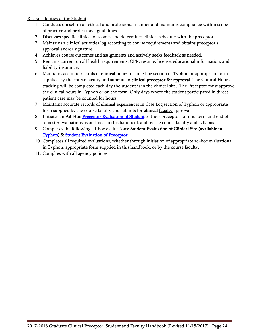<span id="page-23-0"></span>Responsibilities of the Student

- 1. Conducts oneself in an ethical and professional manner and maintains compliance within scope of practice and professional guidelines.
- 2. Discusses specific clinical outcomes and determines clinical schedule with the preceptor.
- 3. Maintains a clinical activities log according to course requirements and obtains preceptor's approval and/or signature.
- 4. Achieves course outcomes and assignments and actively seeks feedback as needed.
- 5. Remains current on all health requirements, CPR, resume, license, educational information, and liability insurance.
- 6. Maintains accurate records of **clinical hours** in Time Log section of Typhon or appropriate form supplied by the course faculty and submits to clinical preceptor for approval. The Clinical Hours tracking will be completed each day the student is in the clinical site. The Preceptor must approve the clinical hours in Typhon or on the form. Only days where the student participated in direct patient care may be counted for hours.
- 7. Maintains accurate records of clinical experiences in Case Log section of Typhon or appropriate form supplied by the course faculty and submits for clinical faculty approval.
- 8. Initiates an Ad-Hoc [Preceptor Evaluation of Student](#page-30-1) to their preceptor for mid-term and end of semester evaluations as outlined in this handbook and by the course faculty and syllabus.
- 9. Completes the following ad-hoc evaluations: Student Evaluation of Clinical Site (available in [Typhon\)](http://www.typhongroup.net/uthscsa) & [Student Evaluation of Preceptor.](#page-31-0)
- 10. Completes all required evaluations, whether through initiation of appropriate ad-hoc evaluations in Typhon, appropriate form supplied in this handbook, or by the course faculty.
- 11. Complies with all agency policies.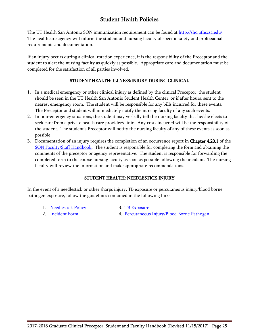# Student Health Policies

<span id="page-24-0"></span>The UT Health San Antonio SON immunization requirement can be found at [http://shc.uthscsa.edu/.](http://shc.uthscsa.edu/) The healthcare agency will inform the student and nursing faculty of specific safety and professional requirements and documentation.

If an injury occurs during a clinical rotation experience, it is the responsibility of the Preceptor and the student to alert the nursing faculty as quickly as possible. Appropriate care and documentation must be completed for the satisfaction of all parties involved.

# STUDENT HEALTH: ILLNESS/INJURY DURING CLINICAL

- <span id="page-24-1"></span>1. In a medical emergency or other clinical injury as defined by the clinical Preceptor, the student should be seen in the UT Health San Antonio Student Health Center, or if after hours, sent to the nearest emergency room. The student will be responsible for any bills incurred for these events. The Preceptor and student will immediately notify the nursing faculty of any such events.
- 2. In non-emergency situations, the student may verbally tell the nursing faculty that he/she elects to seek care from a private health care provider/clinic. Any costs incurred will be the responsibility of the student. The student's Preceptor will notify the nursing faculty of any of these events as soon as possible.
- 3. Documentation of an injury requires the completion of an occurrence report in **Chapter 4.20.1** of the [SON Faculty/Staff](http://nursing.uthscsa.edu/about/administration/faculty_handbook.aspx) Handbook. The student is responsible for completing the form and obtaining the comments of the preceptor or agency representative. The student is responsible for forwarding the completed form to the course nursing faculty as soon as possible following the incident. The nursing faculty will review the information and make appropriate recommendations.

# STUDENT HEALTH: NEEDLESTICK INJURY

<span id="page-24-2"></span>In the event of a needlestick or other sharps injury, TB exposure or percutaneous injury/blood borne pathogen exposure, follow the guidelines contained in the following links:

- 1. [Needlestick Policy](http://shc.uthscsa.edu/pdf/needlestickpolicy.pdf) 3. [TB Exposure](http://research.uthscsa.edu/safety/Documents/TuberculosisExposureControlPlan%20Injury%20Response%20Protocol.pdf)
- 

- 
- 2. [Incident Form](http://shc.uthscsa.edu/pdf/Percutaneous_InjuryBloodBorne_BodyFluidExpForms.pdf) 4. [Percutaneous Injury/Blood Borne Pathogen](http://research.uthscsa.edu/safety/BBPExposureControlPlan.pdf)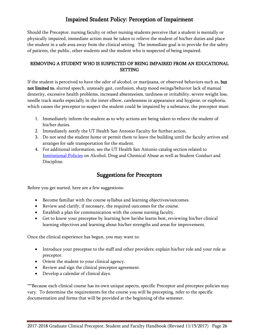# Impaired Student Policy: Perception of Impairment

<span id="page-25-0"></span>Should the Preceptor, nursing faculty or other nursing students perceive that a student is mentally or physically impaired, immediate action must be taken to relieve the student of his/her duties and place the student in a safe area away from the clinical setting. The immediate goal is to provide for the safety of patients, the public, other students and the student who is suspected of being impaired.

# <span id="page-25-1"></span>REMOVING A STUDENT WHO IS SUSPECTED OF BEING IMPAIRED FROM AN EDUCATIONAL **SETTING**

If the student is perceived to have the odor of alcohol, or marijuana, or observed behaviors such as, but not limited to, slurred speech, unsteady gait, confusion, sharp mood swings/behavior lack of manual dexterity, excessive health problems, increased absenteeism, tardiness or irritability, severe weight loss, needle track marks especially in the inner elbow, carelessness in appearance and hygiene, or euphoria, which causes the preceptor to suspect the student could be impaired by a substance, the preceptor must:

- 1. Immediately inform the student as to why actions are being taken to relieve the student of his/her duties.
- 2. Immediately notify the UT Health San Antonio Faculty for further action.
- 3. Do not send the student home or permit them to leave the building until the faculty arrives and arranges for safe transportation for the student.
- 4. For additional information, see the UT Health San Antonio catalog section related to [Institutional Policies](http://catalog.uthscsa.edu/generalinformation/institutionalpolicies/) on Alcohol, Drug and Chemical Abuse as well as Student Conduct and Discipline.

# Suggestions for Preceptors

<span id="page-25-2"></span>Before you get started, here are a few suggestions:

- Become familiar with the course syllabus and learning objectives/outcomes.
- Review and clarify, if necessary, the required outcomes for the course.
- Establish a plan for communication with the course nursing faculty.
- Get to know your preceptee by learning how he/she learns best, reviewing his/her clinical learning objectives and learning about his/her strengths and areas for improvement.

Once the clinical experience has begun, you may want to:

- Introduce your preceptee to the staff and other providers; explain his/her role and your role as preceptor.
- Orient the student to your clinical agency.
- Review and sign the clinical preceptor agreement.
- Develop a calendar of clinical days.

\*\*\*Because each clinical course has its own unique aspects, specific Preceptor and preceptee policies may vary. To determine the requirements for the course you will be precepting, refer to the specific documentation and forms that will be provided at the beginning of the semester.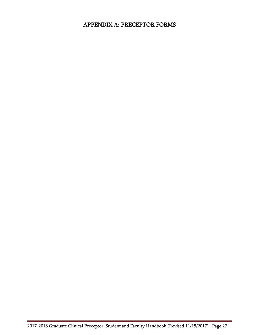# <span id="page-26-0"></span>APPENDIX A: PRECEPTOR FORMS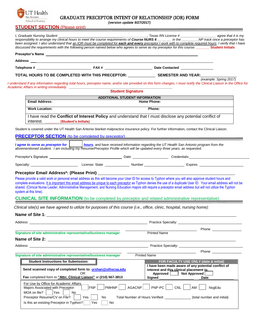<span id="page-27-0"></span>

#### GRADUATE PRECEPTOR INTENT OF RELATIONSHIP (IOR) FORM

*(version update 9/27/2017)*

|                                             |                                                                                                                                                                                                                                | responsibility to arrange my clinical hours to meet the course requirements of Course NURS 6 __ __ in the ______ NP track once a preceptor has<br>been assigned. I also understand that an IOR must be completed for each and every preceptor I work with to complete required hours. I verify that I have<br>discussed the requirements with the following person named below who agrees to serve as my preceptor for this course. Student Initials |
|---------------------------------------------|--------------------------------------------------------------------------------------------------------------------------------------------------------------------------------------------------------------------------------|------------------------------------------------------------------------------------------------------------------------------------------------------------------------------------------------------------------------------------------------------------------------------------------------------------------------------------------------------------------------------------------------------------------------------------------------------|
|                                             |                                                                                                                                                                                                                                |                                                                                                                                                                                                                                                                                                                                                                                                                                                      |
|                                             |                                                                                                                                                                                                                                |                                                                                                                                                                                                                                                                                                                                                                                                                                                      |
|                                             |                                                                                                                                                                                                                                |                                                                                                                                                                                                                                                                                                                                                                                                                                                      |
|                                             |                                                                                                                                                                                                                                | TOTAL HOURS TO BE COMPLETED WITH THIS PRECEPTOR: _________________ SEMESTER AND YEAR:____<br>(example: Spring 2017)<br>I understand if any information regarding total hours, preceptor name, and/or site provided on this form changes, I must notify the Clinical Liaison in the Office for                                                                                                                                                        |
|                                             | <b>Student Signature</b>                                                                                                                                                                                                       |                                                                                                                                                                                                                                                                                                                                                                                                                                                      |
|                                             | ADDITIONAL STUDENT INFORMATION                                                                                                                                                                                                 |                                                                                                                                                                                                                                                                                                                                                                                                                                                      |
| <b>Email Address:</b>                       |                                                                                                                                                                                                                                | <b>Home Phone:</b>                                                                                                                                                                                                                                                                                                                                                                                                                                   |
| <b>Work Location:</b>                       |                                                                                                                                                                                                                                | Phone:                                                                                                                                                                                                                                                                                                                                                                                                                                               |
| interest.                                   | (Student's Initials)                                                                                                                                                                                                           | I have read the Conflict of Interest Policy and understand that I must disclose any potential conflict of                                                                                                                                                                                                                                                                                                                                            |
|                                             |                                                                                                                                                                                                                                | Student is covered under the UT Health San Antonio blanket malpractice insurance policy. For further information, contact the Clinical Liaison.                                                                                                                                                                                                                                                                                                      |
|                                             |                                                                                                                                                                                                                                | PRECEPTOR SECTION (to be completed by preceptor) and the contract of the contract of the contract of the contract of                                                                                                                                                                                                                                                                                                                                 |
|                                             | aforementioned student. I am including my Resume/Preceptor Profile which will be updated every three years, as requested.                                                                                                      | I agree to serve as preceptor for <b>hours</b> , and have received information regarding the UT Health San Antonio program from the                                                                                                                                                                                                                                                                                                                  |
|                                             |                                                                                                                                                                                                                                | Preceptor's Signature <b>Construction Construction</b> Date <b>Construction</b> Credentials:                                                                                                                                                                                                                                                                                                                                                         |
|                                             |                                                                                                                                                                                                                                |                                                                                                                                                                                                                                                                                                                                                                                                                                                      |
|                                             |                                                                                                                                                                                                                                |                                                                                                                                                                                                                                                                                                                                                                                                                                                      |
| system at this time).                       |                                                                                                                                                                                                                                | shared. (Clinical Nurse Leader, Administrative Management, and Nursing Education majors still require a preceptor email address but will not utilize the Typhon<br><b>CLINICAL SITE INFORMATION</b> (to be completed by preceptor and related administrative representative)<br>Clinical site(s) we have agreed to utilize for purposes of this course (i.e., office, clinic, hospital, nursing home):                                               |
|                                             |                                                                                                                                                                                                                                |                                                                                                                                                                                                                                                                                                                                                                                                                                                      |
|                                             |                                                                                                                                                                                                                                |                                                                                                                                                                                                                                                                                                                                                                                                                                                      |
|                                             | Signature of site administrative representative/business manager                                                                                                                                                               | <b>Phone Contract Contract Contract Contract Contract Contract Contract Contract Contract Contract Contract Contract Contract Contract Contract Contract Contract Contract Contract Contract Contract Contract Contract Contra</b><br><b>Printed Name</b>                                                                                                                                                                                            |
|                                             | Address and the contract of the contract of the contract of the contract of the contract of the contract of the contract of the contract of the contract of the contract of the contract of the contract of the contract of th |                                                                                                                                                                                                                                                                                                                                                                                                                                                      |
|                                             |                                                                                                                                                                                                                                |                                                                                                                                                                                                                                                                                                                                                                                                                                                      |
|                                             | Signature of site administrative representative/business manager                                                                                                                                                               | <b>Printed Name</b>                                                                                                                                                                                                                                                                                                                                                                                                                                  |
| <b>Student Instructions for Submission:</b> |                                                                                                                                                                                                                                | FOR FACULTY USE ONLY (date & initial)                                                                                                                                                                                                                                                                                                                                                                                                                |
|                                             | Send scanned copy of completed form to: urshan@uthscsa.edu                                                                                                                                                                     | I have been made aware of any potential conflict of<br>interest and this clinical placement is:                                                                                                                                                                                                                                                                                                                                                      |
|                                             | OR<br>Fax completed form to "Attn: Clinical Liaison" at (210) 567-3813                                                                                                                                                         | complete evaluations. It is important this email address be unique to each preceptor as Typhon denies the use of a duplicate User ID. Your email address will not be<br>Practice Specialty: Network and the state of the state of the state of the state of the state of the state of the state of the state of the state of the state of the state of the state of the state of the state of the stat<br>Approved Not Approved<br>Signed<br>Date:   |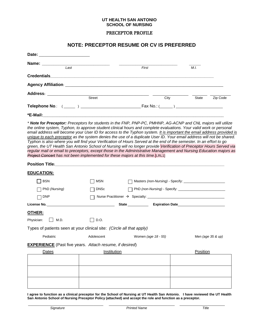#### PRECEPTOR PROFILE

### **NOTE: PRECEPTOR RESUME OR CV IS PREFERRED**

<span id="page-28-0"></span>

| Date: _________________________                                                                                                                                                                                                                                                                                                                                                                                                                                                                                                                                                                                                                                                                     |             |                                                            |          |                   |
|-----------------------------------------------------------------------------------------------------------------------------------------------------------------------------------------------------------------------------------------------------------------------------------------------------------------------------------------------------------------------------------------------------------------------------------------------------------------------------------------------------------------------------------------------------------------------------------------------------------------------------------------------------------------------------------------------------|-------------|------------------------------------------------------------|----------|-------------------|
| Name: _________<br>$\overline{Last}$                                                                                                                                                                                                                                                                                                                                                                                                                                                                                                                                                                                                                                                                |             | First                                                      | M.I.     |                   |
|                                                                                                                                                                                                                                                                                                                                                                                                                                                                                                                                                                                                                                                                                                     |             |                                                            |          |                   |
|                                                                                                                                                                                                                                                                                                                                                                                                                                                                                                                                                                                                                                                                                                     |             |                                                            |          |                   |
|                                                                                                                                                                                                                                                                                                                                                                                                                                                                                                                                                                                                                                                                                                     |             |                                                            |          |                   |
|                                                                                                                                                                                                                                                                                                                                                                                                                                                                                                                                                                                                                                                                                                     | Street      | City                                                       | State    | Zip Code          |
|                                                                                                                                                                                                                                                                                                                                                                                                                                                                                                                                                                                                                                                                                                     |             |                                                            |          |                   |
|                                                                                                                                                                                                                                                                                                                                                                                                                                                                                                                                                                                                                                                                                                     |             |                                                            |          |                   |
| email address will become your User ID for access to the Typhon system. It is important the email address provided is<br>unique to each preceptor as the system denies the use of a duplicate User ID. Your email address will not be shared.<br>Typhon is also where you will find your Verification of Hours Served at the end of the semester. In an effort to go<br>green, the UT Health San Antonio School of Nursing will no longer provide Verification of Preceptor Hours Served via<br>regular mail or email to preceptors, except those in the Administrative Management and Nursing Education majors as<br>Project Concert has not been implemented for these majors at this time.[LRL1] |             |                                                            |          |                   |
| Position Title: New York of the Commission of the Commission of the Commission of the Commission of the Commission                                                                                                                                                                                                                                                                                                                                                                                                                                                                                                                                                                                  |             |                                                            |          |                   |
| <b>EDUCATION:</b>                                                                                                                                                                                                                                                                                                                                                                                                                                                                                                                                                                                                                                                                                   |             |                                                            |          |                   |
| <b>BSN</b>                                                                                                                                                                                                                                                                                                                                                                                                                                                                                                                                                                                                                                                                                          | MSN         |                                                            |          |                   |
| PhD (Nursing)                                                                                                                                                                                                                                                                                                                                                                                                                                                                                                                                                                                                                                                                                       | <b>DNSc</b> | PhD (non-Nursing) - Specify: _____________________________ |          |                   |
| <b>DNP</b>                                                                                                                                                                                                                                                                                                                                                                                                                                                                                                                                                                                                                                                                                          |             |                                                            |          |                   |
|                                                                                                                                                                                                                                                                                                                                                                                                                                                                                                                                                                                                                                                                                                     |             |                                                            |          |                   |
| OTHER:                                                                                                                                                                                                                                                                                                                                                                                                                                                                                                                                                                                                                                                                                              |             |                                                            |          |                   |
| Physician:<br>$\vert$ $\vert$ M.D.                                                                                                                                                                                                                                                                                                                                                                                                                                                                                                                                                                                                                                                                  | D.O.        |                                                            |          |                   |
| Types of patients seen at your clinical site: (Circle all that apply)                                                                                                                                                                                                                                                                                                                                                                                                                                                                                                                                                                                                                               |             |                                                            |          |                   |
| Pediatric                                                                                                                                                                                                                                                                                                                                                                                                                                                                                                                                                                                                                                                                                           | Adolescent  | Women (age 18 - 55)                                        |          | Men (age 35 & up) |
| <b>EXPERIENCE</b> (Past five years. Attach resume, if desired)                                                                                                                                                                                                                                                                                                                                                                                                                                                                                                                                                                                                                                      |             |                                                            |          |                   |
| Dates                                                                                                                                                                                                                                                                                                                                                                                                                                                                                                                                                                                                                                                                                               | Institution |                                                            | Position |                   |
|                                                                                                                                                                                                                                                                                                                                                                                                                                                                                                                                                                                                                                                                                                     |             |                                                            |          |                   |
|                                                                                                                                                                                                                                                                                                                                                                                                                                                                                                                                                                                                                                                                                                     |             |                                                            |          |                   |
|                                                                                                                                                                                                                                                                                                                                                                                                                                                                                                                                                                                                                                                                                                     |             |                                                            |          |                   |
|                                                                                                                                                                                                                                                                                                                                                                                                                                                                                                                                                                                                                                                                                                     |             |                                                            |          |                   |

**I agree to function as a clinical preceptor for the School of Nursing at UT Health San Antonio. I have reviewed the UT Health San Antonio School of Nursing Preceptor Policy (attached) and accept the role and function as a preceptor.**

\_\_\_\_\_\_\_\_\_\_\_\_\_\_\_\_\_\_\_\_\_\_\_\_\_\_\_\_\_\_\_\_\_\_\_\_\_\_\_\_ \_\_\_\_\_\_\_\_\_\_\_\_\_\_\_\_\_\_\_\_\_\_\_\_\_\_\_\_\_\_\_\_\_\_\_ \_\_\_\_\_\_\_\_\_\_\_\_\_\_\_\_\_\_\_\_\_\_\_\_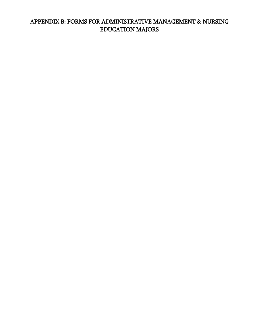# <span id="page-29-0"></span>APPENDIX B: FORMS FOR ADMINISTRATIVE MANAGEMENT & NURSING EDUCATION MAJORS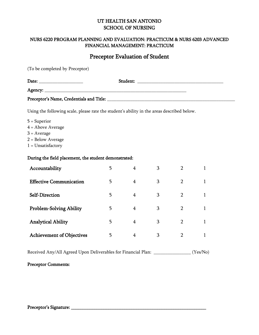# <span id="page-30-0"></span>NURS 6220 PROGRAM PLANNING AND EVALUATION: PRACTICUM & NURS 6203 ADVANCED FINANCIAL MANAGEMENT: PRACTICUM

# Preceptor Evaluation of Student

<span id="page-30-1"></span>(To be completed by Preceptor)

| Date:                                    | Student: |  |
|------------------------------------------|----------|--|
|                                          |          |  |
| Preceptor's Name, Credentials and Title: |          |  |

Using the following scale, please rate the student's ability in the areas described below.

- 5 = Superior
- 4 = Above Average
- $3 = Average$
- 2 = Below Average
- 1 = Unsatisfactory

#### During the field placement, the student demonstrated:

| Accountability                   | 5 | 4              | 3 | റ              |  |
|----------------------------------|---|----------------|---|----------------|--|
| <b>Effective Communication</b>   | 5 | $\overline{4}$ | 3 |                |  |
| Self-Direction                   | 5 | $\overline{4}$ | 3 | $\overline{2}$ |  |
| <b>Problem-Solving Ability</b>   | 5 | 4              | 3 | $\overline{2}$ |  |
| <b>Analytical Ability</b>        | 5 | 4              | 3 | 2              |  |
| <b>Achievement of Objectives</b> | 5 | 4              | 3 |                |  |

Received Any/All Agreed Upon Deliverables for Financial Plan: \_\_\_\_\_\_\_\_\_\_\_\_\_\_\_\_ (Yes/No)

# Preceptor Comments: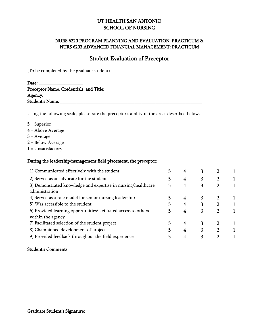# NURS 6220 PROGRAM PLANNING AND EVALUATION: PRACTICUM & NURS 6203 ADVANCED FINANCIAL MANAGEMENT: PRACTICUM

# Student Evaluation of Preceptor

<span id="page-31-0"></span>(To be completed by the graduate student)

| Date:                                   |  |
|-----------------------------------------|--|
| Preceptor Name, Credentials, and Title: |  |
|                                         |  |
| Student's Name:                         |  |

Using the following scale, please rate the preceptor's ability in the areas described below.

- 5 = Superior
- 4 = Above Average
- 3 = Average
- 2 = Below Average
- 1 = Unsatisfactory

#### During the leadership/management field placement, the preceptor:

| 4 | З |  |
|---|---|--|
| 4 | 3 |  |
| 4 | 3 |  |
|   |   |  |
| 4 | 3 |  |
| 4 |   |  |
|   | 3 |  |
|   |   |  |
| 4 | 3 |  |
| 4 | 3 |  |
|   | З |  |
|   |   |  |

#### Student's Comments: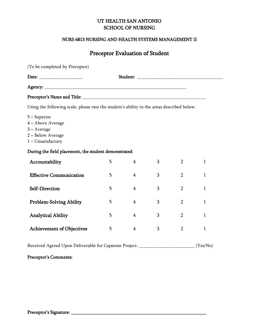### NURS 6813 NURSING AND HEALTH SYSTEMS MANAGEMENT II

# Preceptor Evaluation of Student

<span id="page-32-0"></span>

| (To be completed by Preceptor)                                                                        |   |                |   |                |              |  |
|-------------------------------------------------------------------------------------------------------|---|----------------|---|----------------|--------------|--|
|                                                                                                       |   |                |   |                |              |  |
|                                                                                                       |   |                |   |                |              |  |
|                                                                                                       |   |                |   |                |              |  |
| Using the following scale, please rate the student's ability in the areas described below.            |   |                |   |                |              |  |
| $5 =$ Superior<br>$4 =$ Above Average<br>$3 = Average$<br>$2 = Below Average$<br>$1 = Unsatisfactory$ |   |                |   |                |              |  |
| During the field placement, the student demonstrated:                                                 |   |                |   |                |              |  |
| Accountability                                                                                        | 5 | $\overline{4}$ | 3 | $\overline{2}$ | 1            |  |
| <b>Effective Communication</b>                                                                        | 5 | $\overline{4}$ | 3 | $\overline{2}$ | 1            |  |
| Self-Direction                                                                                        | 5 | 4              | 3 | $\overline{2}$ | $\mathbf{1}$ |  |
| <b>Problem-Solving Ability</b>                                                                        | 5 | $\overline{4}$ | 3 | $\overline{2}$ | $\mathbf{1}$ |  |
| <b>Analytical Ability</b>                                                                             | 5 | $\overline{4}$ | 3 | $\overline{2}$ | 1            |  |
| <b>Achievement of Objectives</b>                                                                      | 5 | $\overline{4}$ | 3 | $\overline{2}$ | 1            |  |

Received Agreed Upon Deliverable for Capstone Project: \_\_\_\_\_\_\_\_\_\_\_\_\_\_\_\_\_\_\_\_\_\_\_\_ (Yes/No)

# Preceptor's Comments: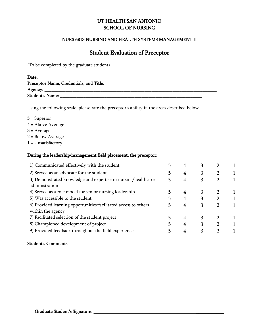### NURS 6813 NURSING AND HEALTH SYSTEMS MANAGEMENT II

# Student Evaluation of Preceptor

(To be completed by the graduate student)

| Date:                                   |  |
|-----------------------------------------|--|
| Preceptor Name, Credentials, and Title: |  |
| Agency: $\_\_$                          |  |
| <b>Student's Name:</b>                  |  |

Using the following scale, please rate the preceptor's ability in the areas described below.

- 5 = Superior
- 4 = Above Average
- $3 = Average$
- 2 = Below Average
- 1 = Unsatisfactory

#### During the leadership/management field placement, the preceptor:

| 1) Communicated effectively with the student                    |   | З |  |
|-----------------------------------------------------------------|---|---|--|
| 2) Served as an advocate for the student                        | 4 | 3 |  |
| 3) Demonstrated knowledge and expertise in nursing/healthcare   | 4 | 3 |  |
| administration                                                  |   |   |  |
| 4) Served as a role model for senior nursing leadership         | 4 | 3 |  |
| 5) Was accessible to the student                                | 4 |   |  |
| 6) Provided learning opportunities/facilitated access to others | 4 | 3 |  |
| within the agency                                               |   |   |  |
| 7) Facilitated selection of the student project                 | 4 |   |  |
| 8) Championed development of project                            | 4 | 3 |  |
| 9) Provided feedback throughout the field experience            |   | 3 |  |

### Student's Comments: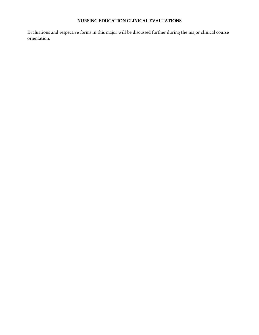# NURSING EDUCATION CLINICAL EVALUATIONS

<span id="page-34-0"></span>Evaluations and respective forms in this major will be discussed further during the major clinical course orientation.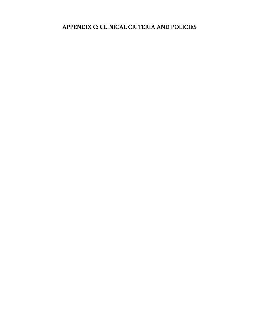# <span id="page-36-0"></span>APPENDIX C: CLINICAL CRITERIA AND POLICIES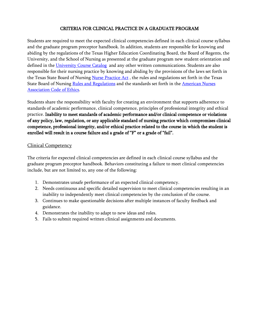# CRITERIA FOR CLINICAL PRACTICE IN A GRADUATE PROGRAM

<span id="page-37-0"></span>Students are required to meet the expected clinical competencies defined in each clinical course syllabus and the graduate program preceptor handbook. In addition, students are responsible for knowing and abiding by the regulations of the Texas Higher Education Coordinating Board, the Board of Regents, the University, and the School of Nursing as presented at the graduate program new student orientation and defined in the [University Course Catalog](http://catalog.uthscsa.edu/) and any other written communications. Students are also responsible for their nursing practice by knowing and abiding by the provisions of the laws set forth in the Texas State Board of Nursing [Nurse Practice Act](http://www.bon.texas.gov/nursinglaw/npa.html), the rules and regulations set forth in the Texas State Board of Nursing [Rules and Regulations](http://www.bon.texas.gov/nursinglaw/rr.html) and the standards set forth in the American Nurses [Association Code of Ethics.](http://www.nursingworld.org/MainMenuCategories/EthicsStandards/CodeofEthicsforNurses)

Students share the responsibility with faculty for creating an environment that supports adherence to standards of academic performance, clinical competence, principles of professional integrity and ethical practice. Inability to meet standards of academic performance and/or clinical competence or violations of any policy, law, regulation, or any applicable standard of nursing practice which compromises clinical competence, professional integrity, and/or ethical practice related to the course in which the student is enrolled will result in a course failure and a grade of "F" or a grade of "fail".

### <span id="page-37-1"></span>Clinical Competency

The criteria for expected clinical competencies are defined in each clinical course syllabus and the graduate program preceptor handbook. Behaviors constituting a failure to meet clinical competencies include, but are not limited to, any one of the following:

- 1. Demonstrates unsafe performance of an expected clinical competency.
- 2. Needs continuous and specific detailed supervision to meet clinical competencies resulting in an inability to independently meet clinical competencies by the conclusion of the course.
- 3. Continues to make questionable decisions after multiple instances of faculty feedback and guidance.
- 4. Demonstrates the inability to adapt to new ideas and roles.
- 5. Fails to submit required written clinical assignments and documents.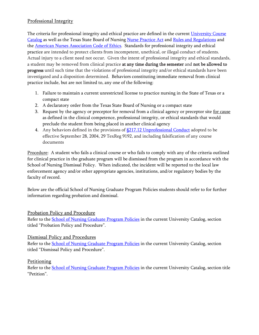# <span id="page-38-0"></span>Professional Integrity

The criteria for professional integrity and ethical practice are defined in the current University Course [Catalog](http://catalog.uthscsa.edu/) as well as the Texas State Board of Nursing [Nurse Practice Act](http://www.bon.texas.gov/nursinglaw/npa.html) and [Rules and Regulations](http://www.bon.texas.gov/nursinglaw/rr.html) and the **American Nurses Association Code of Ethics**. Standards for professional integrity and ethical practice are intended to protect clients from incompetent, unethical, or illegal conduct of students. Actual injury to a client need not occur. Given the intent of professional integrity and ethical standards, a student may be removed from clinical practice at any time during the semester and not be allowed to progress until such time that the violations of professional integrity and/or ethical standards have been investigated and a disposition determined. Behaviors constituting immediate removal from clinical practice include, but are not limited to, any one of the following:

- 1. Failure to maintain a current unrestricted license to practice nursing in the State of Texas or a compact state
- 2. A declaratory order from the Texas State Board of Nursing or a compact state
- 3. Request by the agency or preceptor for removal from a clinical agency or preceptor site for cause as defined in the clinical competence, professional integrity, or ethical standards that would preclude the student from being placed in another clinical agency
- 4. Any behaviors defined in the provisions of  $$217.12$  Unprofessional Conduct adopted to be effective September 28, 2004, 29 TexReg 9192, and including falsification of any course documents

Procedure: A student who fails a clinical course or who fails to comply with any of the criteria outlined for clinical practice in the graduate program will be dismissed from the program in accordance with the School of Nursing Dismissal Policy. When indicated, the incident will be reported to the local law enforcement agency and/or other appropriate agencies, institutions, and/or regulatory bodies by the faculty of record.

Below are the official School of Nursing Graduate Program Policies students should refer to for further information regarding probation and dismissal.

# <span id="page-38-1"></span>Probation Policy and Procedure

Refer to the [School of Nursing Graduate Program Policies](http://catalog.uthscsa.edu/schoolofnursing/msn/#programpoliciestext) in the current University Catalog, section titled "Probation Policy and Procedure".

# <span id="page-38-2"></span>Dismissal Policy and Procedures

Refer to the **School of Nursing Graduate Program Policies** in the current University Catalog, section titled "Dismissal Policy and Procedure".

# <span id="page-38-3"></span>Petitioning

Refer to the [School of Nursing Graduate Program Policies](http://catalog.uthscsa.edu/schoolofnursing/msn/#programpoliciestext) in the current University Catalog, section title "Petition".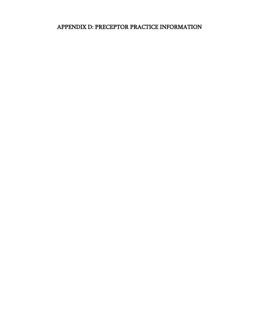# <span id="page-39-0"></span>APPENDIX D: PRECEPTOR PRACTICE INFORMATION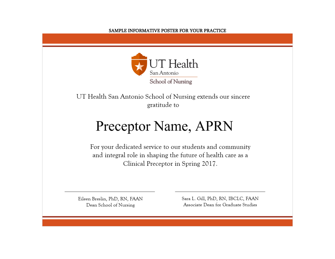### SAMPLE INFORMATIVE POSTER FOR YOUR PRACTICE



<span id="page-40-0"></span>UT Health San Antonio School of Nursing extends our sincere gratitude to

# Preceptor Name, APRN

For your dedicated service to our students and community and integral role in shaping the future of health care as a Clinical Preceptor in Spring 2017.

Eileen Breslin, PhD, RN, FAAN Dean School of Nursing

Sara L. Gill, PhD, RN, IBCLC, FAAN Associate Dean for Graduate Studies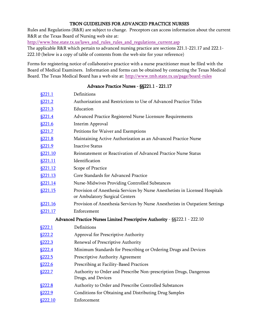### TBON GUIDELINES FOR ADVANCED PRACTICE NURSES

<span id="page-41-0"></span>Rules and Regulations (R&R) are subject to change. Preceptors can access information about the current R&R at the Texas Board of Nursing web site at:

[http://www.bne.state.tx.us/laws\\_and\\_rules\\_rules\\_and\\_regulations\\_current.asp](http://www.bne.state.tx.us/laws_and_rules_rules_and_regulations_current.asp)

The applicable R&R which pertain to advanced nursing practice are sections 221.1-221.17 and 222.1- 222.10 (below is a copy of table of contents from the web site for your reference)

Forms for registering notice of collaborative practice with a nurse practitioner must be filed with the Board of Medical Examiners. Information and forms can be obtained by contacting the Texas Medical Board. The Texas Medical Board has a web site at:<http://www.tmb.state.tx.us/page/board-rules>

### Advance Practice Nurses - §§221.1 - 221.17

| <u>§221.1</u>  | Definitions                                                                                                    |
|----------------|----------------------------------------------------------------------------------------------------------------|
| <u>§221.2</u>  | Authorization and Restrictions to Use of Advanced Practice Titles                                              |
| <u>§221.3</u>  | Education                                                                                                      |
| \$221.4        | Advanced Practice Registered Nurse Licensure Requirements                                                      |
| §221.6         | Interim Approval                                                                                               |
| §221.7         | Petitions for Waiver and Exemptions                                                                            |
| <u>§221.8</u>  | Maintaining Active Authorization as an Advanced Practice Nurse                                                 |
| <u>§221.9</u>  | <b>Inactive Status</b>                                                                                         |
| <u>§221.10</u> | Reinstatement or Reactivation of Advanced Practice Nurse Status                                                |
| <u>§221.11</u> | Identification                                                                                                 |
| <u>§221.12</u> | Scope of Practice                                                                                              |
| <u>§221.13</u> | Core Standards for Advanced Practice                                                                           |
| <u>§221.14</u> | Nurse-Midwives Providing Controlled Substances                                                                 |
| <u>§221.15</u> | Provision of Anesthesia Services by Nurse Anesthetists in Licensed Hospitals<br>or Ambulatory Surgical Centers |
| <u>§221.16</u> | Provision of Anesthesia Services by Nurse Anesthetists in Outpatient Settings                                  |
| <u>§221.17</u> | Enforcement                                                                                                    |
|                | Advanced Practice Nurses Limited Prescriptive Authority - §§222.1 - 222.10                                     |
| <u>§222.1</u>  | Definitions                                                                                                    |
| <u>§222.2</u>  | Approval for Prescriptive Authority                                                                            |
| <u>§222.3</u>  | Renewal of Prescriptive Authority                                                                              |
| <u>§222.4</u>  | Minimum Standards for Prescribing or Ordering Drugs and Devices                                                |
| <u>§222.5</u>  | Prescriptive Authority Agreement                                                                               |
| <u>§222.6</u>  | Prescribing at Facility-Based Practices                                                                        |
| <u>§222.7</u>  | Authority to Order and Prescribe Non-prescription Drugs, Dangerous<br>Drugs, and Devices                       |
| <u>§222.8</u>  | Authority to Order and Prescribe Controlled Substances                                                         |
| <u>§222.9</u>  | Conditions for Obtaining and Distributing Drug Samples                                                         |
| §222.10        | Enforcement                                                                                                    |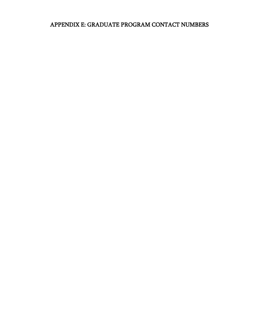# <span id="page-42-0"></span>APPENDIX E: GRADUATE PROGRAM CONTACT NUMBERS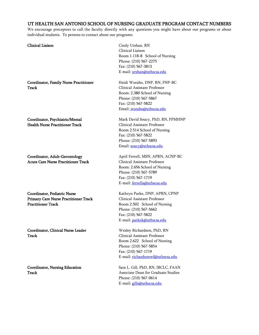# <span id="page-43-0"></span>UT HEALTH SAN ANTONIO SCHOOL OF NURSING GRADUATE PROGRAM CONTACT NUMBERS

We encourage preceptors to call the faculty directly with any questions you might have about our programs or about individual students. To persons to contact about our programs:

| <b>Clinical Liaison</b>                                                                                   | Cindy Urshan, RN<br>Clinical Liaison<br>Room 1.118-8 School of Nursing<br>Phone: (210) 567-2275<br>Fax: (210) 567-3813<br>E-mail: urshan@uthscsa.edu                               |
|-----------------------------------------------------------------------------------------------------------|------------------------------------------------------------------------------------------------------------------------------------------------------------------------------------|
| <b>Coordinator, Family Nurse Practitioner</b><br>Track                                                    | Heidi Worabo, DNP, RN, FNP-BC<br>Clinical Assistant Professor<br>Room: 2.380 School of Nursing<br>Phone: (210) 567-5867<br>Fax: (210) 567-5822<br>Email: worabo@uthscsa.edu        |
| Coordinator, Psychiatric/Mental<br><b>Health Nurse Practitioner Track</b>                                 | Mark David Soucy, PhD, RN, FPMHNP<br>Clinical Assistant Professor<br>Room 2.514 School of Nursing<br>Fax: (210) 567-5822<br>Phone: (210) 567-5893<br>Email: soucy@uthscsa.edu      |
| Coordinator, Adult-Gerontology<br><b>Acute Care Nurse Practitioner Track</b>                              | April Ferrell, MSN, APRN, ACNP-BC<br>Clinical Assistant Professor<br>Room: 2.656 School of Nursing<br>Phone: (210) 567-5789<br>Fax: (210) 567-1719<br>E-mail: ferrella@uthscsa.edu |
| Coordinator, Pediatric Nurse<br><b>Primary Care Nurse Practitioner Track</b><br><b>Practitioner Track</b> | Kathryn Parke, DNP, APRN, CPNP<br>Clinical Assistant Professor<br>Room 2.502 School of Nursing<br>Phone: (210) 567-5662<br>Fax: (210) 567-5822<br>E-mail: parkek@uthscsa.edu       |
| <b>Coordinator, Clinical Nurse Leader</b><br>Track                                                        | Wesley Richardson, PhD, RN<br>Clinical Assistant Professor<br>Room 2.622 School of Nursing<br>Phone: (210) 567-5854<br>Fax: (210) 567-1719<br>E-mail: richardsonwf@uthscsa.edu     |
| <b>Coordinator, Nursing Education</b><br>Track                                                            | Sara L. Gill, PhD, RN, IBCLC, FAAN<br>Associate Dean for Graduate Studies<br>Phone: (210) 567-0614<br>E-mail: gills@uthscsa.edu                                                    |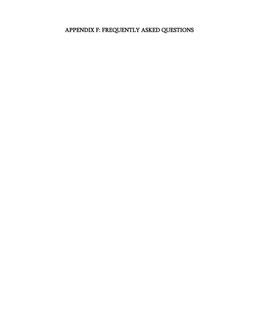# <span id="page-44-0"></span>APPENDIX F: FREQUENTLY ASKED QUESTIONS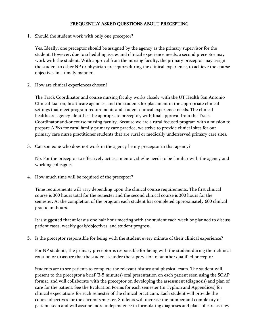#### FREQUENTLY ASKED QUESTIONS ABOUT PRECEPTING

<span id="page-45-0"></span>1. Should the student work with only one preceptor?

Yes. Ideally, one preceptor should be assigned by the agency as the primary supervisor for the student. However, due to scheduling issues and clinical experience needs, a second preceptor may work with the student. With approval from the nursing faculty, the primary preceptor may assign the student to other NP or physician preceptors during the clinical experience, to achieve the course objectives in a timely manner.

2. How are clinical experiences chosen?

The Track Coordinator and course nursing faculty works closely with the UT Health San Antonio Clinical Liaison, healthcare agencies, and the students for placement in the appropriate clinical settings that meet program requirements and student clinical experience needs. The clinical healthcare agency identifies the appropriate preceptor, with final approval from the Track Coordinator and/or course nursing faculty. Because we are a rural focused program with a mission to prepare APNs for rural family primary care practice, we strive to provide clinical sites for our primary care nurse practitioner students that are rural or medically underserved primary care sites.

3. Can someone who does not work in the agency be my preceptor in that agency?

No. For the preceptor to effectively act as a mentor, she/he needs to be familiar with the agency and working colleagues.

4. How much time will be required of the preceptor?

Time requirements will vary depending upon the clinical course requirements. The first clinical course is 300 hours total for the semester and the second clinical course is 300 hours for the semester. At the completion of the program each student has completed approximately 600 clinical practicum hours.

It is suggested that at least a one half hour meeting with the student each week be planned to discuss patient cases, weekly goals/objectives, and student progress.

5. Is the preceptor responsible for being with the student every minute of their clinical experience?

For NP students, the primary preceptor is responsible for being with the student during their clinical rotation or to assure that the student is under the supervision of another qualified preceptor.

Students are to see patients to complete the relevant history and physical exam. The student will present to the preceptor a brief (3-5 minutes) oral presentation on each patient seen using the SOAP format, and will collaborate with the preceptor on developing the assessment (diagnosis) and plan of care for the patient. See the Evaluation Forms for each semester (in Typhon and Appendices) for clinical expectations for each semester of the clinical practicum. Each student will provide the course objectives for the current semester. Students will increase the number and complexity of patients seen and will assume more independence in formulating diagnoses and plans of care as they